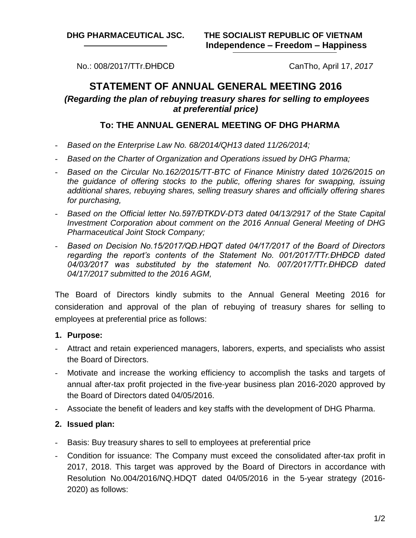No.: 008/2017/TTr.ĐHĐCĐ CanTho, April 17, *2017*

# **STATEMENT OF ANNUAL GENERAL MEETING 2016** *(Regarding the plan of rebuying treasury shares for selling to employees at preferential price)*

# **To: THE ANNUAL GENERAL MEETING OF DHG PHARMA**

- *Based on the Enterprise Law No. 68/2014/QH13 dated 11/26/2014;*
- *Based on the Charter of Organization and Operations issued by DHG Pharma;*
- *Based on the Circular No.162/2015/TT-BTC of Finance Ministry dated 10/26/2015 on the guidance of offering stocks to the public, offering shares for swapping, issuing additional shares, rebuying shares, selling treasury shares and officially offering shares for purchasing,*
- *Based on the Official letter No.597/ĐTKDV-DT3 dated 04/13/2917 of the State Capital Investment Corporation about comment on the 2016 Annual General Meeting of DHG Pharmaceutical Joint Stock Company;*
- *Based on Decision No.15/2017/QĐ.HĐQT dated 04/17/2017 of the Board of Directors regarding the report's contents of the Statement No. 001/2017/TTr.ĐHĐCĐ dated 04/03/2017 was substituted by the statement No. 007/2017/TTr.ĐHĐCĐ dated 04/17/2017 submitted to the 2016 AGM,*

The Board of Directors kindly submits to the Annual General Meeting 2016 for consideration and approval of the plan of rebuying of treasury shares for selling to employees at preferential price as follows:

## **1. Purpose:**

- Attract and retain experienced managers, laborers, experts, and specialists who assist the Board of Directors.
- Motivate and increase the working efficiency to accomplish the tasks and targets of annual after-tax profit projected in the five-year business plan 2016-2020 approved by the Board of Directors dated 04/05/2016.
- Associate the benefit of leaders and key staffs with the development of DHG Pharma.

## **2. Issued plan:**

- Basis: Buy treasury shares to sell to employees at preferential price
- Condition for issuance: The Company must exceed the consolidated after-tax profit in 2017, 2018. This target was approved by the Board of Directors in accordance with Resolution No.004/2016/NQ.HDQT dated 04/05/2016 in the 5-year strategy (2016- 2020) as follows: